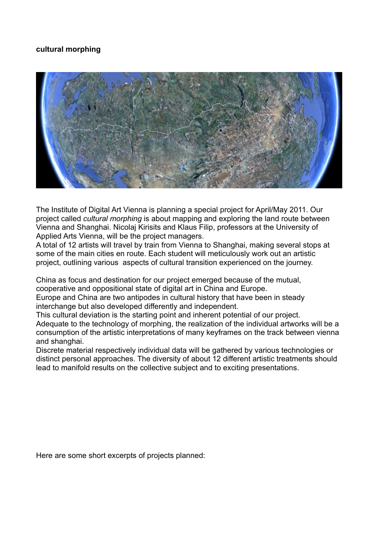## **cultural morphing**



The Institute of Digital Art Vienna is planning a special project for April/May 2011. Our project called *cultural morphing* is about mapping and exploring the land route between Vienna and Shanghai. Nicolaj Kirisits and Klaus Filip, professors at the University of Applied Arts Vienna, will be the project managers.

A total of 12 artists will travel by train from Vienna to Shanghai, making several stops at some of the main cities en route. Each student will meticulously work out an artistic project, outlining various aspects of cultural transition experienced on the journey.

China as focus and destination for our project emerged because of the mutual, cooperative and oppositional state of digital art in China and Europe.

Europe and China are two antipodes in cultural history that have been in steady interchange but also developed differently and independent.

This cultural deviation is the starting point and inherent potential of our project. Adequate to the technology of morphing, the realization of the individual artworks will be a consumption of the artistic interpretations of many keyframes on the track between vienna and shanghai.

Discrete material respectively individual data will be gathered by various technologies or distinct personal approaches. The diversity of about 12 different artistic treatments should lead to manifold results on the collective subject and to exciting presentations.

Here are some short excerpts of projects planned: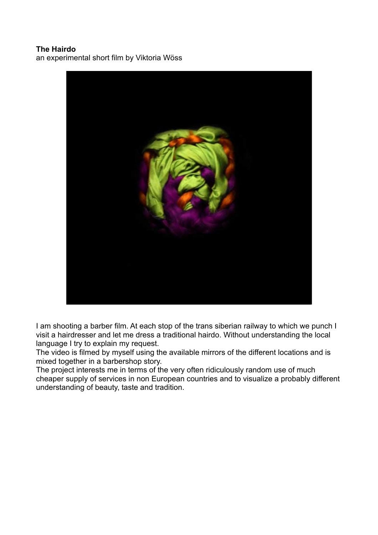## **The Hairdo** an experimental short film by Viktoria Wöss



I am shooting a barber film. At each stop of the trans siberian railway to which we punch I visit a hairdresser and let me dress a traditional hairdo. Without understanding the local language I try to explain my request.

The video is filmed by myself using the available mirrors of the different locations and is mixed together in a barbershop story.

The project interests me in terms of the very often ridiculously random use of much cheaper supply of services in non European countries and to visualize a probably different understanding of beauty, taste and tradition.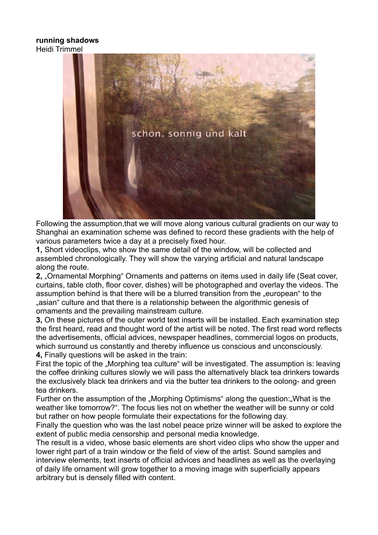## **running shadows** Heidi Trimmel



Following the assumption,that we will move along various cultural gradients on our way to Shanghai an examination scheme was defined to record these gradients with the help of various parameters twice a day at a precisely fixed hour.

**1,** Short videoclips, who show the same detail of the window, will be collected and assembled chronologically. They will show the varying artificial and natural landscape along the route.

**2.** "Ornamental Morphing" Ornaments and patterns on items used in daily life (Seat cover, curtains, table cloth, floor cover, dishes) will be photographed and overlay the videos. The assumption behind is that there will be a blurred transition from the "european" to the asian" culture and that there is a relationship between the algorithmic genesis of ornaments and the prevailing mainstream culture.

**3,** On these pictures of the outer world text inserts will be installed. Each examination step the first heard, read and thought word of the artist will be noted. The first read word reflects the advertisements, official advices, newspaper headlines, commercial logos on products, which surround us constantly and thereby influence us conscious and unconsciously. **4,** Finally questions will be asked in the train:

First the topic of the "Morphing tea culture" will be investigated. The assumption is: leaving the coffee drinking cultures slowly we will pass the alternatively black tea drinkers towards the exclusively black tea drinkers and via the butter tea drinkers to the oolong- and green tea drinkers.

Further on the assumption of the "Morphing Optimisms" along the question: "What is the weather like tomorrow?". The focus lies not on whether the weather will be sunny or cold but rather on how people formulate their expectations for the following day.

Finally the question who was the last nobel peace prize winner will be asked to explore the extent of public media censorship and personal media knowledge.

The result is a video, whose basic elements are short video clips who show the upper and lower right part of a train window or the field of view of the artist. Sound samples and interview elements, text inserts of official advices and headlines as well as the overlaying of daily life ornament will grow together to a moving image with superficially appears arbitrary but is densely filled with content.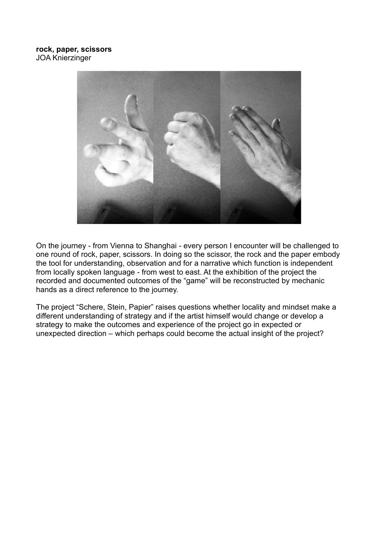

On the journey - from Vienna to Shanghai - every person I encounter will be challenged to one round of rock, paper, scissors. In doing so the scissor, the rock and the paper embody the tool for understanding, observation and for a narrative which function is independent from locally spoken language - from west to east. At the exhibition of the project the recorded and documented outcomes of the "game" will be reconstructed by mechanic hands as a direct reference to the journey.

The project "Schere, Stein, Papier" raises questions whether locality and mindset make a different understanding of strategy and if the artist himself would change or develop a strategy to make the outcomes and experience of the project go in expected or unexpected direction – which perhaps could become the actual insight of the project?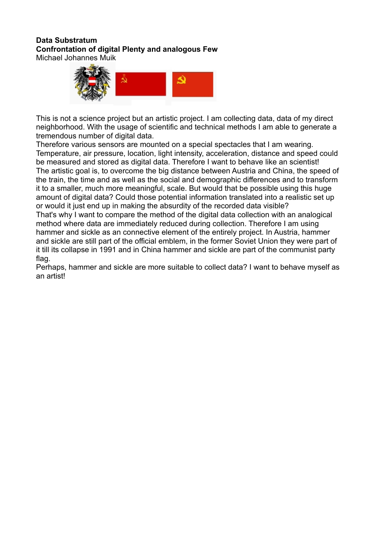## **Data Substratum Confrontation of digital Plenty and analogous Few**

Michael Johannes Muik



This is not a science project but an artistic project. I am collecting data, data of my direct neighborhood. With the usage of scientific and technical methods I am able to generate a tremendous number of digital data.

Therefore various sensors are mounted on a special spectacles that I am wearing. Temperature, air pressure, location, light intensity, acceleration, distance and speed could be measured and stored as digital data. Therefore I want to behave like an scientist! The artistic goal is, to overcome the big distance between Austria and China, the speed of the train, the time and as well as the social and demographic differences and to transform it to a smaller, much more meaningful, scale. But would that be possible using this huge amount of digital data? Could those potential information translated into a realistic set up or would it just end up in making the absurdity of the recorded data visible? That's why I want to compare the method of the digital data collection with an analogical method where data are immediately reduced during collection. Therefore I am using hammer and sickle as an connective element of the entirely project. In Austria, hammer and sickle are still part of the official emblem, in the former Soviet Union they were part of it till its collapse in 1991 and in China hammer and sickle are part of the communist party

flag.

Perhaps, hammer and sickle are more suitable to collect data? I want to behave myself as an artist!